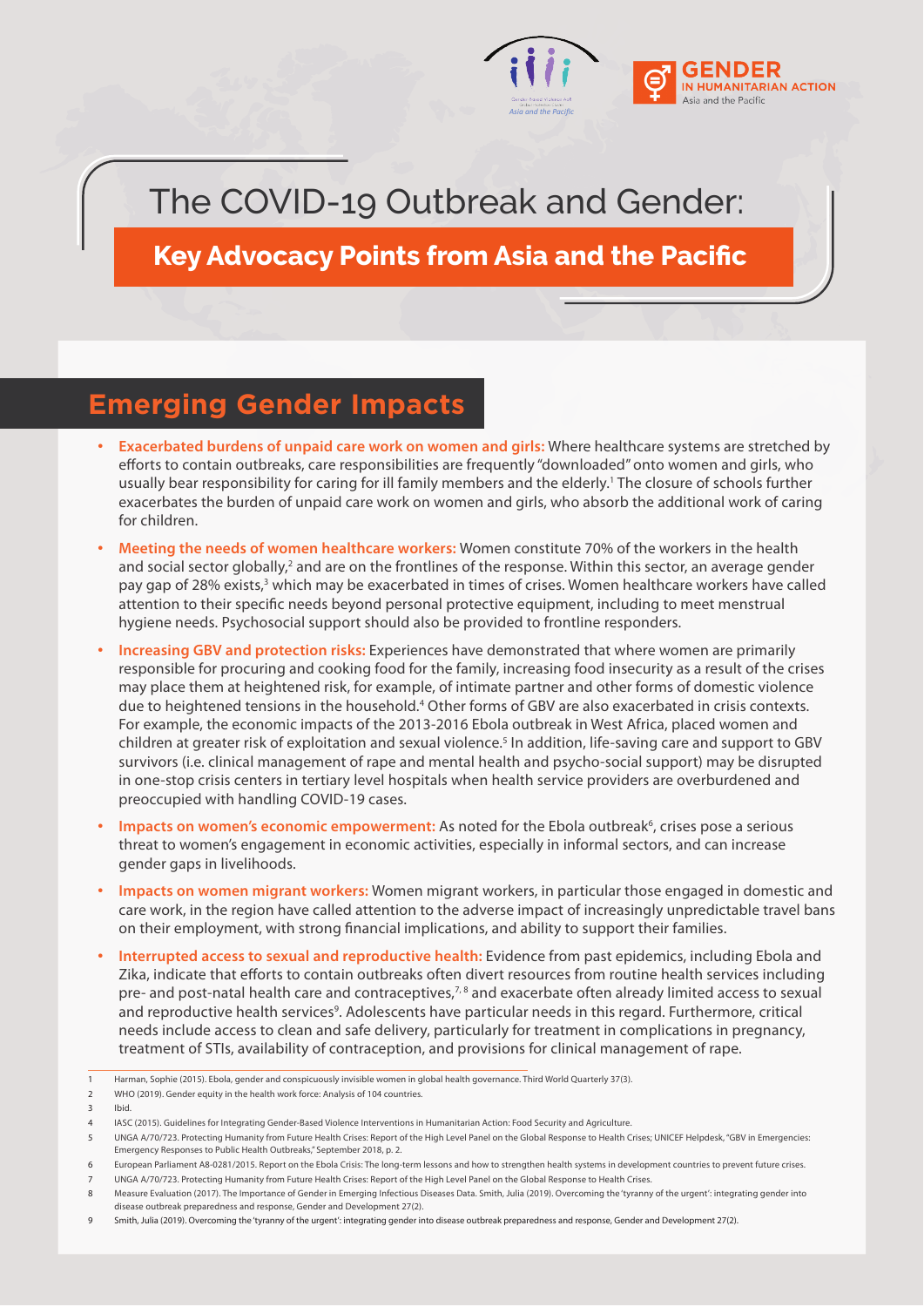

## The COVID-19 Outbreak and Gender:

**Key Advocacy Points from Asia and the Pacific** 

## **Emerging Gender Impacts**

- **Exacerbated burdens of unpaid care work on women and girls:** Where healthcare systems are stretched by efforts to contain outbreaks, care responsibilities are frequently "downloaded" onto women and girls, who usually bear responsibility for caring for ill family members and the elderly.<sup>1</sup> The closure of schools further exacerbates the burden of unpaid care work on women and girls, who absorb the additional work of caring for children.
- **Meeting the needs of women healthcare workers:** Women constitute 70% of the workers in the health and social sector globally,<sup>2</sup> and are on the frontlines of the response. Within this sector, an average gender pay gap of 28% exists,<sup>3</sup> which may be exacerbated in times of crises. Women healthcare workers have called attention to their specific needs beyond personal protective equipment, including to meet menstrual hygiene needs. Psychosocial support should also be provided to frontline responders.
- **Increasing GBV and protection risks:** Experiences have demonstrated that where women are primarily responsible for procuring and cooking food for the family, increasing food insecurity as a result of the crises may place them at heightened risk, for example, of intimate partner and other forms of domestic violence due to heightened tensions in the household.<sup>4</sup> Other forms of GBV are also exacerbated in crisis contexts. For example, the economic impacts of the 2013-2016 Ebola outbreak in West Africa, placed women and children at greater risk of exploitation and sexual violence.<sup>5</sup> In addition, life-saving care and support to GBV survivors (i.e. clinical management of rape and mental health and psycho-social support) may be disrupted in one-stop crisis centers in tertiary level hospitals when health service providers are overburdened and preoccupied with handling COVID-19 cases.
- Impacts on women's economic empowerment: As noted for the Ebola outbreak<sup>6</sup>, crises pose a serious threat to women's engagement in economic activities, especially in informal sectors, and can increase gender gaps in livelihoods.
- **Impacts on women migrant workers:** Women migrant workers, in particular those engaged in domestic and care work, in the region have called attention to the adverse impact of increasingly unpredictable travel bans on their employment, with strong financial implications, and ability to support their families.
- **Interrupted access to sexual and reproductive health:** Evidence from past epidemics, including Ebola and Zika, indicate that efforts to contain outbreaks often divert resources from routine health services including pre- and post-natal health care and contraceptives, $7,8$  and exacerbate often already limited access to sexual and reproductive health services<sup>9</sup>. Adolescents have particular needs in this regard. Furthermore, critical needs include access to clean and safe delivery, particularly for treatment in complications in pregnancy, treatment of STIs, availability of contraception, and provisions for clinical management of rape.

3 Ibid.

<sup>1</sup> Harman, Sophie (2015). Ebola, gender and conspicuously invisible women in global health governance. Third World Quarterly 37(3).

<sup>2</sup> WHO (2019). Gender equity in the health work force: Analysis of 104 countries.

<sup>4</sup> IASC (2015). Guidelines for Integrating Gender-Based Violence Interventions in Humanitarian Action: Food Security and Agriculture.

<sup>5</sup> UNGA A/70/723. Protecting Humanity from Future Health Crises: Report of the High Level Panel on the Global Response to Health Crises; UNICEF Helpdesk, "GBV in Emergencies: Emergency Responses to Public Health Outbreaks," September 2018, p. 2.

<sup>6</sup> European Parliament A8-0281/2015. Report on the Ebola Crisis: The long-term lessons and how to strengthen health systems in development countries to prevent future crises.

<sup>7</sup> UNGA A/70/723. Protecting Humanity from Future Health Crises: Report of the High Level Panel on the Global Response to Health Crises.

<sup>8</sup> Measure Evaluation (2017). The Importance of Gender in Emerging Infectious Diseases Data. Smith, Julia (2019). Overcoming the 'tyranny of the urgent': integrating gender into disease outbreak preparedness and response, Gender and Development 27(2).

<sup>9</sup> Smith, Julia (2019). Overcoming the 'tyranny of the urgent': integrating gender into disease outbreak preparedness and response, Gender and Development 27(2).